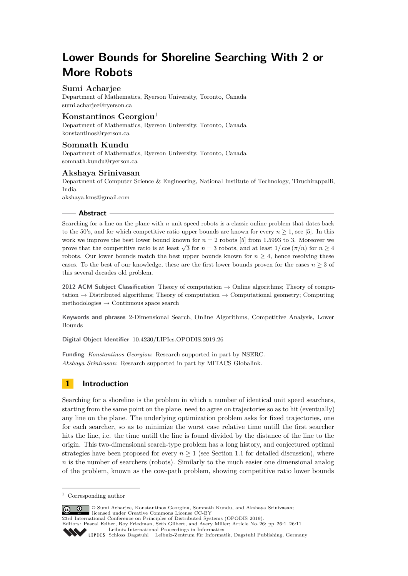# **Lower Bounds for Shoreline Searching With 2 or More Robots**

### **Sumi Acharjee**

Department of Mathematics, Ryerson University, Toronto, Canada [sumi.acharjee@ryerson.ca](mailto:sumi.acharjee@ryerson.ca)

### **Konstantinos Georgiou**<sup>1</sup>

Department of Mathematics, Ryerson University, Toronto, Canada [konstantinos@ryerson.ca](mailto:konstantinos@ryerson.ca)

## **Somnath Kundu**

Department of Mathematics, Ryerson University, Toronto, Canada [somnath.kundu@ryerson.ca](mailto:somnath.kundu@ryerson.ca)

### **Akshaya Srinivasan**

Department of Computer Science & Engineering, National Institute of Technology, Tiruchirappalli, India

[akshaya.kms@gmail.com](mailto:akshaya.kms@gmail.com)

### **Abstract**

Searching for a line on the plane with *n* unit speed robots is a classic online problem that dates back to the 50's, and for which competitive ratio upper bounds are known for every  $n \geq 1$ , see [\[5\]](#page-9-0). In this work we improve the best lower bound known for  $n = 2$  robots [\[5\]](#page-9-0) from 1.5993 to 3. Moreover we prove that the competitive ratio is at least  $\sqrt{3}$  for  $n = 3$  robots, and at least  $1/\cos(\pi/n)$  for  $n \ge 4$ robots. Our lower bounds match the best upper bounds known for  $n \geq 4$ , hence resolving these cases. To the best of our knowledge, these are the first lower bounds proven for the cases  $n \geq 3$  of this several decades old problem.

**2012 ACM Subject Classification** Theory of computation → Online algorithms; Theory of computation  $\rightarrow$  Distributed algorithms; Theory of computation  $\rightarrow$  Computational geometry; Computing methodologies  $\rightarrow$  Continuous space search

**Keywords and phrases** 2-Dimensional Search, Online Algorithms, Competitive Analysis, Lower Bounds

**Digital Object Identifier** [10.4230/LIPIcs.OPODIS.2019.26](https://doi.org/10.4230/LIPIcs.OPODIS.2019.26)

**Funding** *Konstantinos Georgiou*: Research supported in part by NSERC. *Akshaya Srinivasan*: Research supported in part by MITACS Globalink.

### **1 Introduction**

Searching for a shoreline is the problem in which a number of identical unit speed searchers, starting from the same point on the plane, need to agree on trajectories so as to hit (eventually) any line on the plane. The underlying optimization problem asks for fixed trajectories, one for each searcher, so as to minimize the worst case relative time untill the first searcher hits the line, i.e. the time untill the line is found divided by the distance of the line to the origin. This two-dimensional search-type problem has a long history, and conjectured optimal strategies have been proposed for every  $n \geq 1$  (see Section [1.1](#page-1-0) for detailed discussion), where *n* is the number of searchers (robots). Similarly to the much easier one dimensional analog of the problem, known as the cow-path problem, showing competitive ratio lower bounds

© Sumi Acharjee, Konstantinos Georgiou, Somnath Kundu, and Akshaya Srinivasan;  $\circ$   $\circ$ licensed under Creative Commons License CC-BY 23rd International Conference on Principles of Distributed Systems (OPODIS 2019).

Editors: Pascal Felber, Roy Friedman, Seth Gilbert, and Avery Miller; Article No. 26; pp. 26:1–26[:11](#page-10-0) [Leibniz International Proceedings in Informatics](https://www.dagstuhl.de/lipics/)

[Schloss Dagstuhl – Leibniz-Zentrum für Informatik, Dagstuhl Publishing, Germany](https://www.dagstuhl.de)

<sup>1</sup> Corresponding author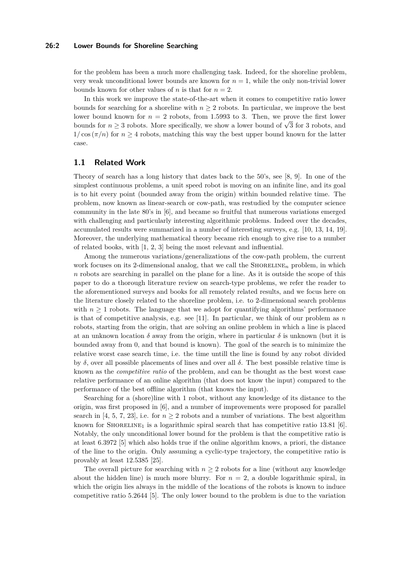#### **26:2 Lower Bounds for Shoreline Searching**

for the problem has been a much more challenging task. Indeed, for the shoreline problem, very weak unconditional lower bounds are known for  $n = 1$ , while the only non-trivial lower bounds known for other values of *n* is that for  $n = 2$ .

In this work we improve the state-of-the-art when it comes to competitive ratio lower bounds for searching for a shoreline with  $n \geq 2$  robots. In particular, we improve the best lower bound known for  $n = 2$  robots, from 1.5993 to 3. Then, we prove the first lower bounds for  $n \geq 3$  robots. More specifically, we show a lower bound of  $\sqrt{3}$  for 3 robots, and bounds for  $n \geq 3$  robots. More specifically, we show a lower bound of  $\sqrt{3}$  for 3 robots, and  $1/\cos(\pi/n)$  for  $n \geq 4$  robots, matching this way the best upper bound known for the latter case.

### <span id="page-1-0"></span>**1.1 Related Work**

Theory of search has a long history that dates back to the 50's, see [\[8,](#page-9-1) [9\]](#page-9-2). In one of the simplest continuous problems, a unit speed robot is moving on an infinite line, and its goal is to hit every point (bounded away from the origin) within bounded relative time. The problem, now known as linear-search or cow-path, was restudied by the computer science community in the late 80's in [\[6\]](#page-9-3), and became so fruitful that numerous variations emerged with challenging and particularly interesting algorithmic problems. Indeed over the decades, accumulated results were summarized in a number of interesting surveys, e.g. [\[10,](#page-9-4) [13,](#page-9-5) [14,](#page-10-1) [19\]](#page-10-2). Moreover, the underlying mathematical theory became rich enough to give rise to a number of related books, with [\[1,](#page-9-6) [2,](#page-9-7) [3\]](#page-9-8) being the most relevant and influential.

Among the numerous variations/generalizations of the cow-path problem, the current work focuses on its 2-dimensional analog, that we call the  $\text{SHORELINE}_n$  problem, in which *n* robots are searching in parallel on the plane for a line. As it is outside the scope of this paper to do a thorough literature review on search-type problems, we refer the reader to the aforementioned surveys and books for all remotely related results, and we focus here on the literature closely related to the shoreline problem, i.e. to 2-dimensional search problems with  $n \geq 1$  robots. The language that we adopt for quantifying algorithms' performance is that of competitive analysis, e.g. see [\[11\]](#page-9-9). In particular, we think of our problem as  $n$ robots, starting from the origin, that are solving an online problem in which a line is placed at an unknown location  $\delta$  away from the origin, where in particular  $\delta$  is unknown (but it is bounded away from 0, and that bound is known). The goal of the search is to minimize the relative worst case search time, i.e. the time untill the line is found by any robot divided by *δ*, over all possible placements of lines and over all *δ*. The best possible relative time is known as the *competitive ratio* of the problem, and can be thought as the best worst case relative performance of an online algorithm (that does not know the input) compared to the performance of the best offline algorithm (that knows the input).

Searching for a (shore)line with 1 robot, without any knowledge of its distance to the origin, was first proposed in [\[6\]](#page-9-3), and a number of improvements were proposed for parallel search in [\[4,](#page-9-10) [5,](#page-9-0) [7,](#page-9-11) [23\]](#page-10-3), i.e. for  $n \geq 2$  robots and a number of variations. The best algorithm known for SHORELINE<sub>1</sub> is a logarithmic spiral search that has competitive ratio 13.81 [\[6\]](#page-9-3). Notably, the only unconditional lower bound for the problem is that the competitive ratio is at least 6*.*3972 [\[5\]](#page-9-0) which also holds true if the online algorithm knows, a priori, the distance of the line to the origin. Only assuming a cyclic-type trajectory, the competitive ratio is provably at least 12*.*5385 [\[25\]](#page-10-4).

The overall picture for searching with  $n \geq 2$  robots for a line (without any knowledge about the hidden line) is much more blurry. For  $n = 2$ , a double logarithmic spiral, in which the origin lies always in the middle of the locations of the robots is known to induce competitive ratio 5*.*2644 [\[5\]](#page-9-0). The only lower bound to the problem is due to the variation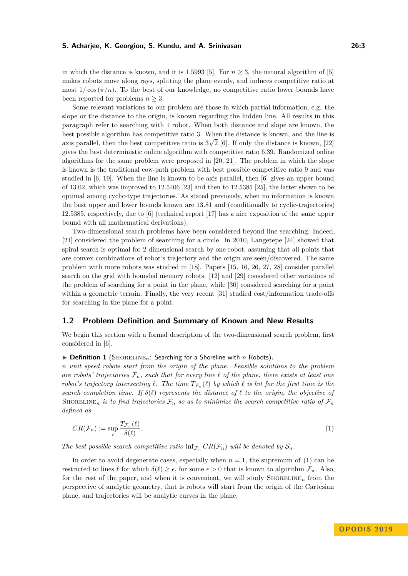in which the distance is known, and it is 1.5993 [\[5\]](#page-9-0). For  $n \geq 3$ , the natural algorithm of [5] makes robots move along rays, splitting the plane evenly, and induces competitive ratio at most  $1/\cos(\pi/n)$ . To the best of our knowledge, no competitive ratio lower bounds have been reported for problems  $n \geq 3$ .

Some relevant variations to our problem are those in which partial information, e.g. the slope or the distance to the origin, is known regarding the hidden line. All results in this paragraph refer to searching with 1 robot. When both distance and slope are known, the best possible algorithm has competitive ratio 3. When the distance is known, and the line is axis parallel, then the best competitive ratio is  $3\sqrt{2}$  [\[6\]](#page-9-3). If only the distance is known, [\[22\]](#page-10-5) gives the best deterministic online algorithm with competitive ratio 6*.*39. Randomized online algorithms for the same problem were proposed in [\[20,](#page-10-6) [21\]](#page-10-7). The problem in which the slope is known is the traditional cow-path problem with best possible competitive ratio 9 and was studied in [\[6,](#page-9-3) [19\]](#page-10-2). When the line is known to be axis parallel, then [\[6\]](#page-9-3) gives an upper bound of 13.02, which was improved to 12*.*5406 [\[23\]](#page-10-3) and then to 12*.*5385 [\[25\]](#page-10-4), the latter shown to be optimal among cyclic-type trajectories. As stated previously, when no information is known the best upper and lower bounds known are 13*.*81 and (conditionally to cyclic-trajectories) 12*.*5385, respectively, due to [\[6\]](#page-9-3) (technical report [\[17\]](#page-10-8) has a nice exposition of the same upper bound with all mathematical derivations).

Two-dimensional search problems have been considered beyond line searching. Indeed, [\[21\]](#page-10-7) considered the problem of searching for a circle. In 2010, Langetepe [\[24\]](#page-10-9) showed that spiral search is optimal for 2 dimensional search by one robot, assuming that all points that are convex combinations of robot's trajectory and the origin are seen/discovered. The same problem with more robots was studied in [\[18\]](#page-10-10). Papers [\[15,](#page-10-11) [16,](#page-10-12) [26,](#page-10-13) [27,](#page-10-14) [28\]](#page-10-15) consider parallel search on the grid with bounded memory robots. [\[12\]](#page-9-12) and [\[29\]](#page-10-16) considered other variations of the problem of searching for a point in the plane, while [\[30\]](#page-10-17) considered searching for a point within a geometric terrain. Finally, the very recent [\[31\]](#page-10-18) studied cost/information trade-offs for searching in the plane for a point.

### **1.2 Problem Definition and Summary of Known and New Results**

We begin this section with a formal description of the two-dimensional search problem, first considered in [\[6\]](#page-9-3).

 $\triangleright$  **Definition 1** (SHORELINE<sub>n</sub>: Searching for a Shoreline with *n* Robots).

*n unit speed robots start from the origin of the plane. Feasible solutions to the problem* are robots' trajectories  $\mathcal{F}_n$ , such that for every line  $\ell$  of the plane, there exists at least one *robot's trajectory intersecting*  $\ell$ . The time  $T_{\mathcal{F}_n}(\ell)$  by which  $\ell$  is hit for the first time is the *search completion time. If*  $\delta(\ell)$  *represents the distance of*  $\ell$  *to the origin, the objective of* SHORELINE<sub>n</sub> is to find trajectories  $\mathcal{F}_n$  so as to minimize the search competitive ratio of  $\mathcal{F}_n$ *defined as*

<span id="page-2-0"></span>
$$
CR(\mathcal{F}_n) := \sup_{\ell} \frac{T_{\mathcal{F}_n}(\ell)}{\delta(\ell)}.
$$
 (1)

*The best possible search competitive ratio* inf<sub>F<sub>n</sub></sub>  $CR(\mathcal{F}_n)$  *will be denoted by*  $S_n$ .

In order to avoid degenerate cases, especially when  $n = 1$ , the supremum of [\(1\)](#page-2-0) can be restricted to lines  $\ell$  for which  $\delta(\ell) \geq \epsilon$ , for some  $\epsilon > 0$  that is known to algorithm  $\mathcal{F}_n$ . Also, for the rest of the paper, and when it is convenient, we will study  $SHORELINE<sub>n</sub>$  from the perspective of analytic geometry, that is robots will start from the origin of the Cartesian plane, and trajectories will be analytic curves in the plane.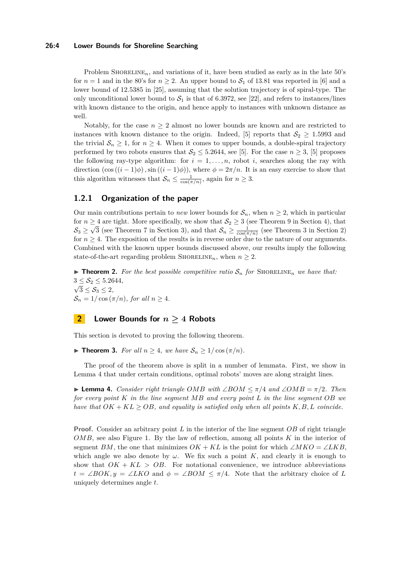#### **26:4 Lower Bounds for Shoreline Searching**

Problem SHORELINE<sub>n</sub>, and variations of it, have been studied as early as in the late 50's for  $n = 1$  and in the 80's for  $n \ge 2$ . An upper bound to  $S_1$  of 13.81 was reported in [\[6\]](#page-9-3) and a lower bound of 12*.*5385 in [\[25\]](#page-10-4), assuming that the solution trajectory is of spiral-type. The only unconditional lower bound to  $S_1$  is that of 6.3972, see [\[22\]](#page-10-5), and refers to instances/lines with known distance to the origin, and hence apply to instances with unknown distance as well.

Notably, for the case  $n \geq 2$  almost no lower bounds are known and are restricted to instances with known distance to the origin. Indeed, [\[5\]](#page-9-0) reports that  $S_2 \geq 1.5993$  and the trivial  $S_n \geq 1$ , for  $n \geq 4$ . When it comes to upper bounds, a double-spiral trajectory performed by two robots ensures that  $S_2 \leq 5.2644$ , see [\[5\]](#page-9-0). For the case  $n \geq 3$ , [5] proposes the following ray-type algorithm: for  $i = 1, \ldots, n$ , robot *i*, searches along the ray with direction  $(\cos((i-1)\phi), \sin((i-1)\phi))$ , where  $\phi = 2\pi/n$ . It is an easy exercise to show that this algorithm witnesses that  $\mathcal{S}_n \leq \frac{1}{\cos(\pi/n)}$ , again for  $n \geq 3$ .

### **1.2.1 Organization of the paper**

Our main contributions pertain to *new* lower bounds for  $S_n$ , when  $n \geq 2$ , which in particular for  $n \geq 4$  are tight. More specifically, we show that  $\mathcal{S}_2 \geq 3$  (see Theorem [9](#page-7-0) in Section [4\)](#page-7-1), that  $S_3 \geq \sqrt{3}$  (see Theorem [7](#page-6-0) in Section [3\)](#page-6-1), and that  $S_n \geq \frac{1}{\cos(\pi/n)}$  (see Theorem [3](#page-3-0) in Section [2\)](#page-3-1) for  $n \geq 4$ . The exposition of the results is in reverse order due to the nature of our arguments. Combined with the known upper bounds discussed above, our results imply the following state-of-the-art regarding problem SHORELINE<sub>n</sub>, when  $n \geq 2$ .

 $\triangleright$  **Theorem 2.** For the best possible competitive ratio  $S_n$  for SHORELINE<sub>n</sub> we have that:  $3 \le S_2 \le 5.2644,$  $\sqrt{3} \leq \mathcal{S}_3 \leq 2$  $\mathcal{S}_n = 1/\cos(\pi/n)$ , for all  $n > 4$ .

### <span id="page-3-1"></span>**2 Lower Bounds for** *n* **≥ 4 Robots**

<span id="page-3-0"></span>This section is devoted to proving the following theorem.

 $\blacktriangleright$  **Theorem 3.** *For all n* ≥ 4*, we have*  $S_n$  ≥ 1/ cos ( $π/n$ )*.* 

The proof of the theorem above is split in a number of lemmata. First, we show in Lemma [4](#page-3-2) that under certain conditions, optimal robots' moves are along straight lines.

<span id="page-3-2"></span> $▶$  **Lemma 4.** *Consider right triangle OMB with* ∠*BOM*  $\lt \pi/4$  *and* ∠*OMB* =  $\pi/2$ *. Then for every point K in the line segment MB and every point L in the line segment OB we have that*  $OK + KL \geq OB$ , and equality is satisfied only when all points  $K, B, L$  coincide.

**Proof.** Consider an arbitrary point *L* in the interior of the line segment *OB* of right triangle *OMB*, see also Figure [1.](#page-4-0) By the law of reflection, among all points *K* in the interior of segment *BM*, the one that minimizes  $OK + KL$  is the point for which ∠*MKO* = ∠*LKB*, which angle we also denote by  $\omega$ . We fix such a point K, and clearly it is enough to show that  $OK + KL > OB$ . For notational convenience, we introduce abbreviations  $t = \angle BOK, y = \angle LKO$  and  $\phi = \angle BOM \leq \pi/4$ . Note that the arbitrary choice of *L* uniquely determines angle *t*.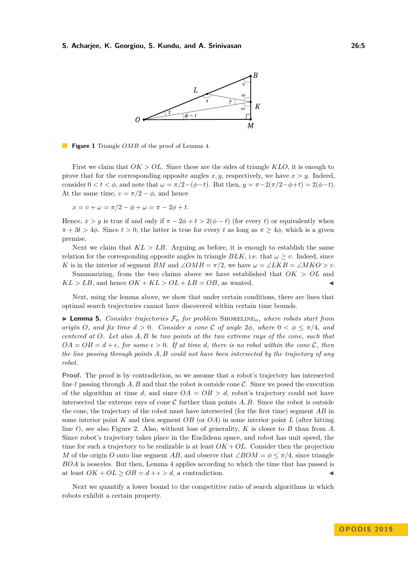<span id="page-4-0"></span>

### **Figure 1** Triangle *OMB* of the proof of Lemma [4.](#page-3-2)

First we claim that *OK > OL*. Since these are the sides of triangle *KLO*, it is enough to prove that for the corresponding opposite angles  $x, y$ , respectively, we have  $x > y$ . Indeed, consider  $0 < t < \phi$ , and note that  $\omega = \pi/2 - (\phi - t)$ . But then,  $y = \pi - 2(\pi/2 - \phi + t) = 2(\phi - t)$ . At the same time,  $v = \pi/2 - \phi$ , and hence

 $x = v + \omega = \pi/2 - \phi + \omega = \pi - 2\phi + t.$ 

Hence,  $x > y$  is true if and only if  $\pi - 2\phi + t > 2(\phi - t)$  (for every *t*) or equivalently when  $\pi + 3t > 4\phi$ . Since  $t > 0$ , the latter is true for every *t* as long as  $\pi > 4\phi$ , which is a given premise.

Next we claim that  $KL > LB$ . Arguing as before, it is enough to establish the same relation for the corresponding opposite angles in triangle  $BLK$ , i.e. that  $\omega > v$ . Indeed, since *K* is in the interior of segment *BM* and  $\angle OMB = \pi/2$ , we have  $\omega = \angle LKB = \angle MKO > v$ .

Summarizing, from the two claims above we have established that *OK > OL* and  $KL > LB$ , and hence  $OK + KL > OL + LB = OB$ , as wanted.

Next, using the lemma above, we show that under certain conditions, there are lines that optimal search trajectories cannot have discovered within certain time bounds.

<span id="page-4-1"></span> $\blacktriangleright$  **Lemma 5.** *Consider trajectories*  $\mathcal{F}_n$  *for problem* SHORELINE<sub>*n*</sub>*, where robots start from origin O*, and fix time  $d > 0$ . Consider a cone C of angle  $2\phi$ , where  $0 < \phi \leq \pi/4$ , and *centered at O. Let also A, B be two points at the two extreme rays of the cone, such that*  $OA = OB = d + \epsilon$ , for some  $\epsilon > 0$ . If at time *d*, there is no robot within the cone *C*, then *the line passing through points A, B could not have been intersected by the trajectory of any robot.*

**Proof.** The proof is by contradiction, so we assume that a robot's trajectory has intersected line  $\ell$  passing through  $A, B$  and that the robot is outside cone  $\mathcal{C}$ . Since we posed the execution of the algorithm at time *d*, and since  $OA = OB > d$ , robot's trajectory could not have intersected the extreme rays of cone  $\mathcal C$  further than points  $A, B$ . Since the robot is outside the cone, the trajectory of the robot must have intersected (for the first time) segment *AB* in some interior point *K* and then segment *OB* (or *OA*) in some interior point *L* (after hitting line  $\ell$ ), see also Figure [2.](#page-5-0) Also, without loss of generality, *K* is closer to *B* than from *A*. Since robot's trajectory takes place in the Euclidean space, and robot has unit speed, the time for such a trajectory to be realizable is at least  $OK + OL$ . Consider then the projection *M* of the origin *O* onto line segment *AB*, and observe that  $\angle BOM = \phi \leq \pi/4$ , since triangle *BOA* is isosceles. But then, Lemma [4](#page-3-2) applies according to which the time that has passed is at least  $OK + OL \ge OB = d + \epsilon > d$ , a contradiction.

<span id="page-4-2"></span>Next we quantify a lower bound to the competitive ratio of search algorithms in which robots exhibit a certain property.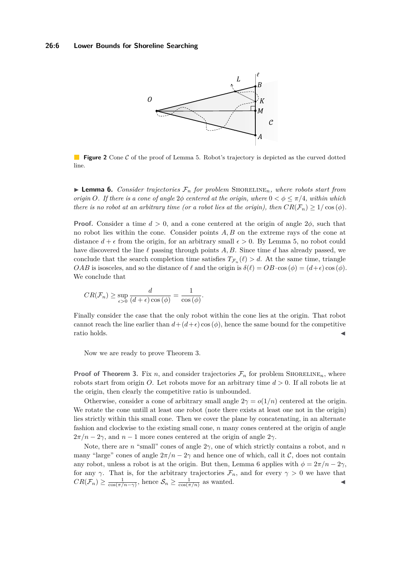<span id="page-5-0"></span>

**Figure 2** Cone C of the proof of Lemma [5.](#page-4-1) Robot's trajectory is depicted as the curved dotted line.

**Lemma 6.** *Consider trajectories*  $\mathcal{F}_n$  *for problem* SHORELINE<sub>n</sub>, where robots start from *origin O*. If there is a cone of angle  $2\phi$  centered at the origin, where  $0 < \phi \leq \pi/4$ , within which *there is no robot at an arbitrary time (or a robot lies at the origin), then*  $CR(\mathcal{F}_n) \geq 1/\cos(\phi)$ .

**Proof.** Consider a time  $d > 0$ , and a cone centered at the origin of angle  $2\phi$ , such that no robot lies within the cone. Consider points *A, B* on the extreme rays of the cone at distance  $d + \epsilon$  from the origin, for an arbitrary small  $\epsilon > 0$ . By Lemma [5,](#page-4-1) no robot could have discovered the line  $\ell$  passing through points  $A, B$ . Since time  $d$  has already passed, we conclude that the search completion time satisfies  $T_{\mathcal{F}_n}(\ell) > d$ . At the same time, triangle *OAB* is isosceles, and so the distance of  $\ell$  and the origin is  $\delta(\ell) = OB \cdot \cos(\phi) = (d+\epsilon)\cos(\phi)$ . We conclude that

$$
CR(\mathcal{F}_n) \ge \sup_{\epsilon > 0} \frac{d}{(d+\epsilon)\cos(\phi)} = \frac{1}{\cos(\phi)}.
$$

Finally consider the case that the only robot within the cone lies at the origin. That robot cannot reach the line earlier than  $d + (d + \epsilon) \cos(\phi)$ , hence the same bound for the competitive  $\blacksquare$  ratio holds.

Now we are ready to prove Theorem [3.](#page-3-0)

**Proof of Theorem [3.](#page-3-0)** Fix *n*, and consider trajectories  $\mathcal{F}_n$  for problem SHORELINE<sub>*n*</sub>, where robots start from origin *O*. Let robots move for an arbitrary time *d >* 0. If all robots lie at the origin, then clearly the competitive ratio is unbounded.

Otherwise, consider a cone of arbitrary small angle  $2\gamma = o(1/n)$  centered at the origin. We rotate the cone untill at least one robot (note there exists at least one not in the origin) lies strictly within this small cone. Then we cover the plane by concatenating, in an alternate fashion and clockwise to the existing small cone, *n* many cones centered at the origin of angle  $2\pi/n - 2\gamma$ , and  $n-1$  more cones centered at the origin of angle  $2\gamma$ .

Note, there are *n* "small" cones of angle 2*γ*, one of which strictly contains a robot, and *n* many "large" cones of angle  $2\pi/n - 2\gamma$  and hence one of which, call it C, does not contain any robot, unless a robot is at the origin. But then, Lemma [6](#page-4-2) applies with  $\phi = 2\pi/n - 2\gamma$ , for any  $\gamma$ . That is, for the arbitrary trajectories  $\mathcal{F}_n$ , and for every  $\gamma > 0$  we have that  $CR(\mathcal{F}_n) \geq \frac{1}{\cos(\pi/n-\gamma)},$  hence  $\mathcal{S}_n \geq \frac{1}{\cos(\pi/n)}$  as wanted.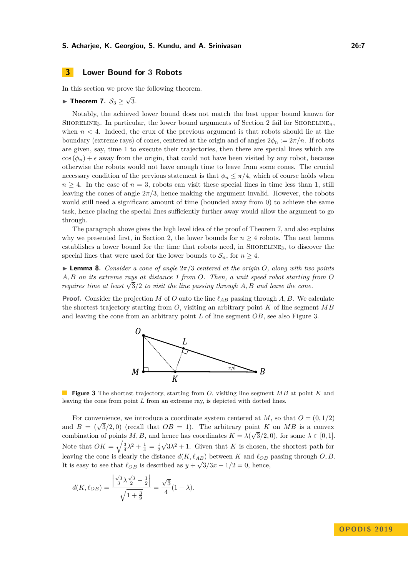### <span id="page-6-1"></span>**3 Lower Bound for 3 Robots**

In this section we prove the following theorem.

#### <span id="page-6-0"></span>► Theorem 7.  $\mathcal{S}_3 \geq \sqrt{ }$ 3*.*

Notably, the achieved lower bound does not match the best upper bound known for SHORELINE<sub>3</sub>. In particular, the lower bound arguments of Section [2](#page-3-1) fail for SHORELINE<sub>n</sub>, when  $n < 4$ . Indeed, the crux of the previous argument is that robots should lie at the boundary (extreme rays) of cones, centered at the origin and of angles  $2\phi_n := 2\pi/n$ . If robots are given, say, time 1 to execute their trajectories, then there are special lines which are  $\cos (\phi_n) + \epsilon$  away from the origin, that could not have been visited by any robot, because otherwise the robots would not have enough time to leave from some cones. The crucial necessary condition of the previous statement is that  $\phi_n \leq \pi/4$ , which of course holds when  $n \geq 4$ . In the case of  $n = 3$ , robots can visit these special lines in time less than 1, still leaving the cones of angle  $2\pi/3$ , hence making the argument invalid. However, the robots would still need a significant amount of time (bounded away from 0) to achieve the same task, hence placing the special lines sufficiently further away would allow the argument to go through.

The paragraph above gives the high level idea of the proof of Theorem [7,](#page-6-0) and also explains why we presented first, in Section [2,](#page-3-1) the lower bounds for  $n \geq 4$  robots. The next lemma establishes a lower bound for the time that robots need, in SHORELINE<sub>3</sub>, to discover the special lines that were used for the lower bounds to  $\mathcal{S}_n$ , for  $n \geq 4$ .

<span id="page-6-3"></span>**Lemma 8.** *Consider a cone of angle*  $2\pi/3$  *centered at the origin O, along with two points A, B on its extreme rays at distance 1 from O. Then, a unit speed robot starting from O requires time at least*  $\sqrt{3}/2$  *to visit the line passing through A, B and leave the cone.* 

<span id="page-6-2"></span>**Proof.** Consider the projection *M* of *O* onto the line  $\ell_{AB}$  passing through *A, B*. We calculate the shortest trajectory starting from *O*, visiting an arbitrary point *K* of line segment *MB* and leaving the cone from an arbitrary point *L* of line segment *OB*, see also Figure [3.](#page-6-2)



**Figure 3** The shortest trajectory, starting from *O*, visiting line segment *MB* at point *K* and leaving the cone from point *L* from an extreme ray, is depicted with dotted lines.

For convenience, we introduce a coordinate system centered at  $M$ , so that  $O = (0, 1/2)$ For convenience, we introduce a coordinate system centered at *M*, so that  $O = (0, 1/2)$ <br>and  $B = (\sqrt{3}/2, 0)$  (recall that  $OB = 1$ ). The arbitrary point *K* on *MB* is a convex combination of points  $M, B$ , and hence has coordinates  $K = \lambda(\sqrt{3}/2, 0)$ , for some  $\lambda \in [0, 1]$ . Note that  $OK = \sqrt{\frac{3}{4}\lambda^2 + \frac{1}{4}} = \frac{1}{2}$  $\sqrt{3\lambda^2+1}$ . Given that *K* is chosen, the shortest path for leaving the cone is clearly the distance  $d(K, \ell_{AB})$  between  $K$  and  $\ell_{OB}$  passing through  $O, B$ . It is easy to see that  $\ell_{OB}$  is described as  $y + \sqrt{3}/3x - 1/2 = 0$ , hence,

$$
d(K, \ell_{OB}) = \frac{\left| \frac{\sqrt{3}}{3} \lambda \frac{\sqrt{3}}{2} - \frac{1}{2} \right|}{\sqrt{1 + \frac{3}{9}}} = \frac{\sqrt{3}}{4} (1 - \lambda).
$$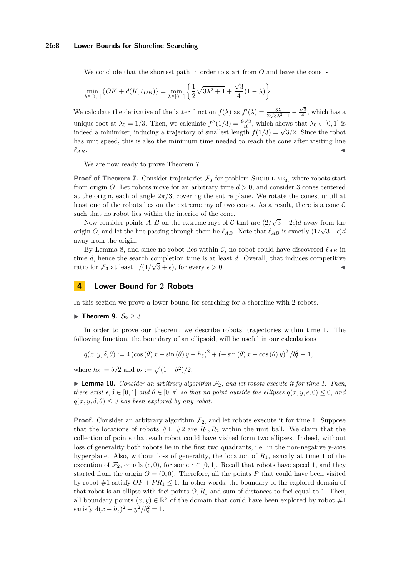#### **26:8 Lower Bounds for Shoreline Searching**

We conclude that the shortest path in order to start from *O* and leave the cone is

$$
\min_{\lambda \in [0,1]} \{ OK + d(K, \ell_{OB}) \} = \min_{\lambda \in [0,1]} \left\{ \frac{1}{2} \sqrt{3\lambda^2 + 1} + \frac{\sqrt{3}}{4} (1 - \lambda) \right\}
$$

We calculate the derivative of the latter function  $f(\lambda)$  as  $f'(\lambda) = \frac{3\lambda}{2\sqrt{3\lambda^2+1}} - \frac{\sqrt{3}}{4}$ , which has a unique root at  $\lambda_0 = 1/3$ . Then, we calculate  $f''(1/3) = \frac{9\sqrt{3}}{16}$ , which shows that  $\lambda_0 \in [0,1]$  is indeed a minimizer, inducing a trajectory of smallest length  $f(1/3) = \sqrt{3}/2$ . Since the robot indeed a minimizer, inducing a trajectory of smallest length  $f(1/3) = \sqrt{3}/2$ . Since the robot has unit speed, this is also the minimum time needed to reach the cone after visiting line  $\ell_{AB}$ .

We are now ready to prove Theorem [7.](#page-6-0)

**Proof of Theorem [7.](#page-6-0)** Consider trajectories  $\mathcal{F}_3$  for problem SHORELINE<sub>3</sub>, where robots start from origin *O*. Let robots move for an arbitrary time *d >* 0, and consider 3 cones centered at the origin, each of angle  $2\pi/3$ , covering the entire plane. We rotate the cones, untill at least one of the robots lies on the extreme ray of two cones. As a result, there is a cone  $\mathcal C$ such that no robot lies within the interior of the cone. √

Now consider points  $A, B$  on the extreme rays of  $C$  that are  $(2)$  $(3+2\epsilon)d$  away from the origin *O*, and let the line passing through them be  $\ell_{AB}$ . Note that  $\ell_{AB}$  is exactly  $(1/\sqrt{3}+\epsilon)d$ away from the origin.

By Lemma [8,](#page-6-3) and since no robot lies within  $\mathcal{C}$ , no robot could have discovered  $\ell_{AB}$  in time *d*, hence the search completion time is at least *d*. Overall, that induces competitive ratio for  $\mathcal{F}_3$  at least  $1/(1/\sqrt{3} + \epsilon)$ , for every  $\epsilon > 0$ .

### <span id="page-7-1"></span>**4 Lower Bound for 2 Robots**

<span id="page-7-0"></span>In this section we prove a lower bound for searching for a shoreline with 2 robots.

▶ **Theorem 9.**  $S_2 \geq 3$ .

In order to prove our theorem, we describe robots' trajectories within time 1. The following function, the boundary of an ellipsoid, will be useful in our calculations

$$
q(x, y, \delta, \theta) := 4 \left( \cos \left( \theta \right) x + \sin \left( \theta \right) y - h_{\delta} \right)^{2} + \left( -\sin \left( \theta \right) x + \cos \left( \theta \right) y \right)^{2} / b_{\delta}^{2} - 1,
$$

where  $h_{\delta} := \delta/2$  and  $b_{\delta} := \sqrt{(1 - \delta^2)/2}.$ 

<span id="page-7-2"></span>**Lemma 10.** *Consider an arbitrary algorithm*  $\mathcal{F}_2$ *, and let robots execute it for time 1. Then, there exist*  $\epsilon, \delta \in [0, 1]$  *and*  $\theta \in [0, \pi]$  *so that no point outside the ellipses*  $q(x, y, \epsilon, 0) \leq 0$ *, and*  $q(x, y, \delta, \theta) \leq 0$  *has been explored by any robot.* 

**Proof.** Consider an arbitrary algorithm  $\mathcal{F}_2$ , and let robots execute it for time 1. Suppose that the locations of robots  $\#1$ ,  $\#2$  are  $R_1, R_2$  within the unit ball. We claim that the collection of points that each robot could have visited form two ellipses. Indeed, without loss of generality both robots lie in the first two quadrants, i.e. in the non-negative y-axis hyperplane. Also, without loss of generality, the location of *R*1, exactly at time 1 of the execution of  $\mathcal{F}_2$ , equals ( $\epsilon$ , 0), for some  $\epsilon \in [0,1]$ . Recall that robots have speed 1, and they started from the origin  $O = (0,0)$ . Therefore, all the points P that could have been visited by robot  $#1$  satisfy  $OP + PR_1 \leq 1$ . In other words, the boundary of the explored domain of that robot is an ellipse with foci points  $O, R_1$  and sum of distances to foci equal to 1. Then, all boundary points  $(x, y) \in \mathbb{R}^2$  of the domain that could have been explored by robot #1 satisfy  $4(x - h_{\epsilon})^2 + y^2/b_{\epsilon}^2 = 1$ .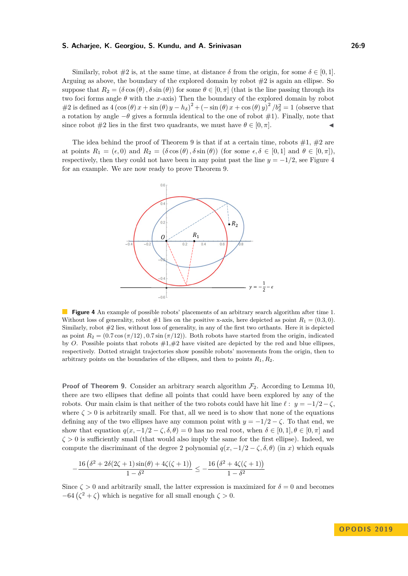Similarly, robot  $\#2$  is, at the same time, at distance  $\delta$  from the origin, for some  $\delta \in [0, 1]$ . Arguing as above, the boundary of the explored domain by robot  $#2$  is again an ellipse. So suppose that  $R_2 = (\delta \cos(\theta), \delta \sin(\theta))$  for some  $\theta \in [0, \pi]$  (that is the line passing through its two foci forms angle *θ* with the *x*-axis) Then the boundary of the explored domain by robot  $\#2$  is defined as  $4(\cos(\theta)x + \sin(\theta)y - h_\delta)^2 + (-\sin(\theta)x + \cos(\theta)y)^2 / b_\delta^2 = 1$  (observe that a rotation by angle  $-\theta$  gives a formula identical to the one of robot  $\#1$ ). Finally, note that since robot  $#2$  lies in the first two quadrants, we must have  $\theta \in [0, \pi]$ .

<span id="page-8-0"></span>The idea behind the proof of Theorem [9](#page-7-0) is that if at a certain time, robots  $\#1, \#2$  are at points  $R_1 = (\epsilon, 0)$  and  $R_2 = (\delta \cos(\theta), \delta \sin(\theta))$  (for some  $\epsilon, \delta \in [0, 1]$  and  $\theta \in [0, \pi]$ ), respectively, then they could not have been in any point past the line  $y = -1/2$ , see Figure [4](#page-8-0) for an example. We are now ready to prove Theorem [9.](#page-7-0)



**Figure 4** An example of possible robots' placements of an arbitrary search algorithm after time 1. Without loss of generality, robot  $\#1$  lies on the positive x-axis, here depicted as point  $R_1 = (0.3, 0)$ . Similarly, robot #2 lies, without loss of generality, in any of the first two orthants. Here it is depicted as point  $R_2 = (0.7 \cos(\pi/12), 0.7 \sin(\pi/12))$ . Both robots have started from the origin, indicated by *O*. Possible points that robots  $\#1,\#2$  have visited are depicted by the red and blue ellipses, respectively. Dotted straight trajectories show possible robots' movements from the origin, then to arbitrary points on the boundaries of the ellipses, and then to points *R*1*, R*2.

**Proof of Theorem [9.](#page-7-0)** Consider an arbitrary search algorithm  $\mathcal{F}_2$ . According to Lemma [10,](#page-7-2) there are two ellipses that define all points that could have been explored by any of the robots. Our main claim is that neither of the two robots could have hit line  $\ell : y = -1/2 - \zeta$ , where  $\zeta > 0$  is arbitrarily small. For that, all we need is to show that none of the equations defining any of the two ellipses have any common point with  $y = -1/2 - \zeta$ . To that end, we show that equation  $q(x, -1/2 - \zeta, \delta, \theta) = 0$  has no real root, when  $\delta \in [0, 1], \theta \in [0, \pi]$  and  $\zeta > 0$  is sufficiently small (that would also imply the same for the first ellipse). Indeed, we compute the discriminant of the degree 2 polynomial  $q(x, -1/2 - \zeta, \delta, \theta)$  (in *x*) which equals

$$
-\frac{16\left(\delta^2+2\delta(2\zeta+1)\sin(\theta)+4\zeta(\zeta+1)\right)}{1-\delta^2}\leq -\frac{16\left(\delta^2+4\zeta(\zeta+1)\right)}{1-\delta^2}
$$

Since  $\zeta > 0$  and arbitrarily small, the latter expression is maximized for  $\delta = 0$  and becomes  $-64(\zeta^2 + \zeta)$  which is negative for all small enough  $\zeta > 0$ .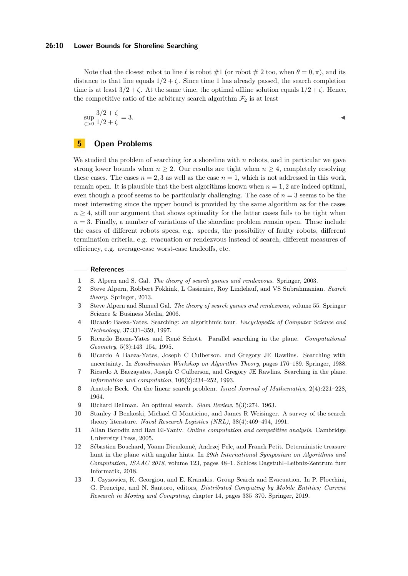Note that the closest robot to line  $\ell$  is robot  $\#1$  (or robot  $\#2$  too, when  $\theta = 0, \pi$ ), and its distance to that line equals  $1/2 + \zeta$ . Since time 1 has already passed, the search completion time is at least  $3/2 + \zeta$ . At the same time, the optimal offline solution equals  $1/2 + \zeta$ . Hence, the competitive ratio of the arbitrary search algorithm  $\mathcal{F}_2$  is at least

$$
\sup_{\zeta > 0} \frac{3/2 + \zeta}{1/2 + \zeta} = 3.
$$

### **5 Open Problems**

We studied the problem of searching for a shoreline with *n* robots, and in particular we gave strong lower bounds when  $n \geq 2$ . Our results are tight when  $n \geq 4$ , completely resolving these cases. The cases  $n = 2, 3$  as well as the case  $n = 1$ , which is not addressed in this work, remain open. It is plausible that the best algorithms known when  $n = 1, 2$  are indeed optimal, even though a proof seems to be particularly challenging. The case of  $n = 3$  seems to be the most interesting since the upper bound is provided by the same algorithm as for the cases  $n \geq 4$ , still our argument that shows optimality for the latter cases fails to be tight when  $n = 3$ . Finally, a number of variations of the shoreline problem remain open. These include the cases of different robots specs, e.g. speeds, the possibility of faulty robots, different termination criteria, e.g. evacuation or rendezvous instead of search, different measures of efficiency, e.g. average-case worst-case tradeoffs, etc.

#### **References**

- <span id="page-9-6"></span>**1** S. Alpern and S. Gal. *The theory of search games and rendezvous*. Springer, 2003.
- <span id="page-9-7"></span>**2** Steve Alpern, Robbert Fokkink, L Gasieniec, Roy Lindelauf, and VS Subrahmanian. *Search theory*. Springer, 2013.
- <span id="page-9-8"></span>**3** Steve Alpern and Shmuel Gal. *The theory of search games and rendezvous*, volume 55. Springer Science & Business Media, 2006.
- <span id="page-9-10"></span>**4** Ricardo Baeza-Yates. Searching: an algorithmic tour. *Encyclopedia of Computer Science and Technology*, 37:331–359, 1997.
- <span id="page-9-0"></span>**5** Ricardo Baeza-Yates and René Schott. Parallel searching in the plane. *Computational Geometry*, 5(3):143–154, 1995.
- <span id="page-9-3"></span>**6** Ricardo A Baeza-Yates, Joseph C Culberson, and Gregory JE Rawlins. Searching with uncertainty. In *Scandinavian Workshop on Algorithm Theory*, pages 176–189. Springer, 1988.
- <span id="page-9-11"></span>**7** Ricardo A Baezayates, Joseph C Culberson, and Gregory JE Rawlins. Searching in the plane. *Information and computation*, 106(2):234–252, 1993.
- <span id="page-9-1"></span>**8** Anatole Beck. On the linear search problem. *Israel Journal of Mathematics*, 2(4):221–228, 1964.
- <span id="page-9-2"></span>**9** Richard Bellman. An optimal search. *Siam Review*, 5(3):274, 1963.
- <span id="page-9-4"></span>**10** Stanley J Benkoski, Michael G Monticino, and James R Weisinger. A survey of the search theory literature. *Naval Research Logistics (NRL)*, 38(4):469–494, 1991.
- <span id="page-9-9"></span>**11** Allan Borodin and Ran El-Yaniv. *Online computation and competitive analysis*. Cambridge University Press, 2005.
- <span id="page-9-12"></span>**12** Sébastien Bouchard, Yoann Dieudonné, Andrzej Pelc, and Franck Petit. Deterministic treasure hunt in the plane with angular hints. In *29th International Symposium on Algorithms and Computation, ISAAC 2018*, volume 123, pages 48–1. Schloss Dagstuhl–Leibniz-Zentrum fuer Informatik, 2018.
- <span id="page-9-5"></span>**13** J. Czyzowicz, K. Georgiou, and E. Kranakis. Group Search and Evacuation. In P. Flocchini, G. Prencipe, and N. Santoro, editors, *Distributed Computing by Mobile Entities; Current Research in Moving and Computing*, chapter 14, pages 335–370. Springer, 2019.